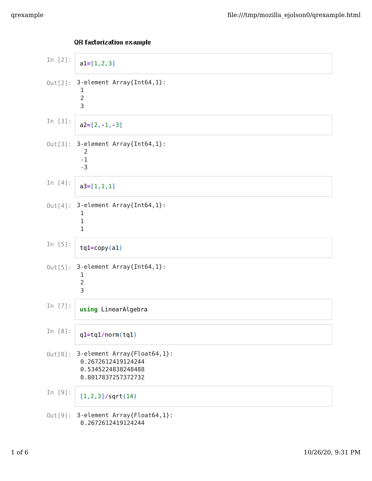| In $[2]$ : | $a1=[1,2,3]$                                                                                  |
|------------|-----------------------------------------------------------------------------------------------|
|            | Out[2]: 3-element Array{Int64,1}:<br>1<br>$\overline{2}$<br>3                                 |
| In $[3]$ : | $a2=[2,-1,-3]$                                                                                |
|            | Out[3]: 3-element Array{Int64,1}:<br>2<br>$-1$<br>$-3$                                        |
| In $[4]$ : | $a3=[1,1,1]$                                                                                  |
|            | $Out[4]:$ 3-element Array{Int64,1}:<br>1<br>1<br>1                                            |
| In $[5]$ : | $tq1=copy(a1)$                                                                                |
|            | Out[5]: 3-element Array{Int64,1}:<br>1<br>2<br>3                                              |
| In $[7]$ : | using LinearAlgebra                                                                           |
| In $[8]$ : | $q1=tq1/norm(tq1)$                                                                            |
| Out[8]:    | 3-element Array{Float64,1}:<br>0.2672612419124244<br>0.5345224838248488<br>0.8017837257372732 |
| In [9]:    | $[1, 2, 3]$ /sqrt $(14)$                                                                      |
| Out[9]:    | 3-element Array{Float64,1}:<br>0.2672612419124244                                             |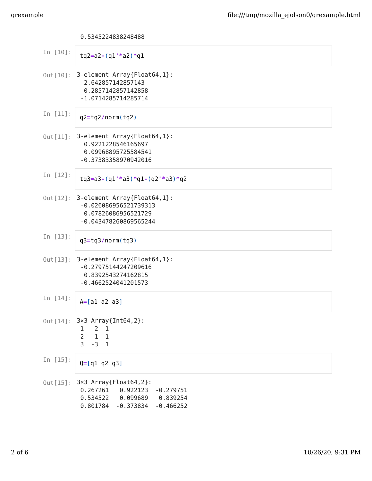## 0.5345224838248488

| In $[10]$ : | $\text{tq2=a2-(q1'*a2)*q1}$                                                                                                                           |
|-------------|-------------------------------------------------------------------------------------------------------------------------------------------------------|
|             | Out[10]: 3-element Array{Float64,1}:<br>2.642857142857143<br>0.2857142857142858<br>-1.0714285714285714                                                |
| In $[11]$ : | $q2 = tq2/norm(tq2)$                                                                                                                                  |
|             | Out[11]: 3-element Array{Float64,1}:<br>0.9221228546165697<br>0.09968895725584541<br>-0.37383358970942016                                             |
| In $[12]$ : | $tg3=a3-(q1'*a3)*q1-(q2'*a3)*q2$                                                                                                                      |
|             | $Out[12]$ : 3-element Array{Float64,1}:<br>$-0.026086956521739313$<br>0.07826086956521729<br>-0.043478260869565244                                    |
| In $[13]$ : | $q3 = tq3/norm(tq3)$                                                                                                                                  |
|             | Out[13]: 3-element Array{Float64,1}:<br>$-0.27975144247209616$<br>0.8392543274162815<br>$-0.4662524041201573$                                         |
| In $[14]$ : | $A = [a1 a2 a3]$                                                                                                                                      |
|             | Out[14]: 3×3 Array{Int64,2}:<br>$\overline{2}$<br>$\mathbf{1}$<br>1<br>$-1$<br>$\overline{2}$<br><sup>1</sup><br>$\mathsf{3}$<br>$-3$<br>$\mathbf{1}$ |
| In $[15]$ : | $Q = [q1 q2 q3]$                                                                                                                                      |
| $Out[15]$ : | $3\times3$ Array{Float64,2}:<br>0.267261<br>0.922123<br>$-0.279751$<br>0.534522<br>0.099689<br>0.839254<br>0.801784<br>$-0.373834$<br>$-0.466252$     |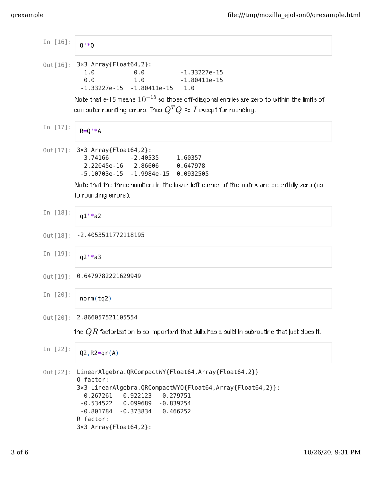| In [16]:        | $0**0$                                                                                                                                                                                                                                                                                               |
|-----------------|------------------------------------------------------------------------------------------------------------------------------------------------------------------------------------------------------------------------------------------------------------------------------------------------------|
|                 | Out [16]: 3×3 Array{Float64,2}:<br>1.0<br>$0.0$ $-1.33227e-15$<br>$1.0$ $-1.80411e-15$<br>0.0<br>$-1.33227e-15 -1.80411e-15$ 1.0<br>Note that e-15 means $10^{-15}$ so those off-diagonal entries are zero to within the limits of                                                                   |
|                 | computer rounding errors. Thus $Q^TQ\approx I$ except for rounding.                                                                                                                                                                                                                                  |
| In $[17]$ :     | $R=0$ ' $*A$                                                                                                                                                                                                                                                                                         |
|                 | Out[17]: 3×3 Array{Float64,2}:<br>3.74166<br>$-2.40535$ 1.60357<br>2.22045e-16 2.86606 0.647978<br>$-5.10703e-15 -1.9984e-15 0.0932505$                                                                                                                                                              |
|                 | Note that the three numbers in the lower left corner of the matrix are essentially zero (up<br>to rounding errors).                                                                                                                                                                                  |
| In $[18]$ :     | $q1'*a2$                                                                                                                                                                                                                                                                                             |
|                 | Out[18]: -2.4053511772118195                                                                                                                                                                                                                                                                         |
| In [19]:        | $q2$ '*a3                                                                                                                                                                                                                                                                                            |
|                 | Out[19]: 0.6479782221629949                                                                                                                                                                                                                                                                          |
| In [20]:        | norm(tq2)                                                                                                                                                                                                                                                                                            |
|                 | Out [20]: 2.866057521105554                                                                                                                                                                                                                                                                          |
|                 | the $QR$ factorization is so important that Julia has a build in subroutine that just does it.                                                                                                                                                                                                       |
| In [22]:        | $Q2, R2 = qr(A)$                                                                                                                                                                                                                                                                                     |
| $0$ ut $[22]$ : | LinearAlgebra.QRCompactWY{Float64,Array{Float64,2}}<br>Q factor:<br>3×3 LinearAlgebra.QRCompactWYQ{Float64,Array{Float64,2}}:<br>$-0.267261$<br>0.922123<br>0.279751<br>$-0.534522$ $0.099689$<br>$-0.839254$<br>0.466252<br>$-0.801784$<br>$-0.373834$<br>R factor:<br>$3\times3$ Array{Float64,2}: |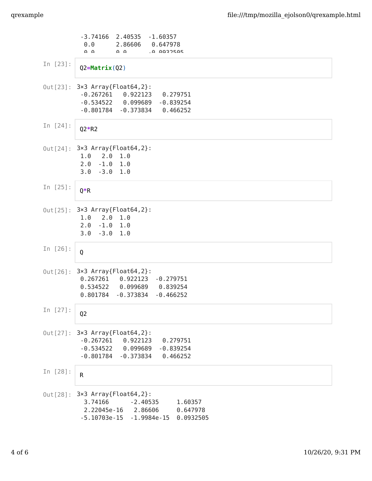|                 | $-3.74166$<br>2.40535<br>$-1.60357$<br>$\theta$ . $\theta$<br>2.86606<br>0.647978<br>െ വ<br><u>ດ ດ</u><br><b>LA AQROSAS</b>                                |
|-----------------|------------------------------------------------------------------------------------------------------------------------------------------------------------|
| In $[23]$ :     | $Q2 = Matrix(Q2)$                                                                                                                                          |
|                 | Out [23]: 3×3 Array{Float64,2}:<br>$-0.267261$<br>0.922123<br>0.279751<br>$-0.534522$<br>0.099689<br>$-0.839254$<br>$-0.801784$<br>$-0.373834$<br>0.466252 |
| In $[24]$ :     | $Q2*R2$                                                                                                                                                    |
|                 | Out[24]: 3×3 Array{Float64,2}:<br>1.0<br>$2.0 \t1.0$<br>2.0<br>$-1.0$ 1.0<br>3.0<br>$-3.0$<br>1.0                                                          |
| In $[25]$ :     | $Q^*R$                                                                                                                                                     |
| Out[25]:        | $3\times3$ Array{Float64,2}:<br>1.0<br>2.0 1.0<br>2.0<br>$-1.0$ 1.0<br>3.0<br>$-3.0$ 1.0                                                                   |
| In $[26]$ :     | Q                                                                                                                                                          |
| $0$ ut $[26]$ : | $3\times3$ Array{Float64,2}:<br>0.267261<br>0.922123<br>$-0.279751$<br>0.534522<br>0.099689<br>0.839254<br>0.801784<br>$-0.373834$<br>$-0.466252$          |
| In $[27]$ :     | Q <sub>2</sub>                                                                                                                                             |
| $0$ ut $[27]$ : | $3\times3$ Array{Float64,2}:<br>$-0.267261$<br>0.922123<br>0.279751<br>$-0.534522$<br>0.099689<br>$-0.839254$<br>$-0.801784$<br>$-0.373834$<br>0.466252    |
| In $[28]$ :     | $\sf R$                                                                                                                                                    |
| $0$ ut $[28]$ : | $3\times3$ Array{Float64,2}:<br>3.74166<br>$-2.40535$<br>1.60357<br>2.22045e-16<br>2.86606<br>0.647978<br>$-5.10703e-15$<br>0.0932505<br>-1.9984e-15       |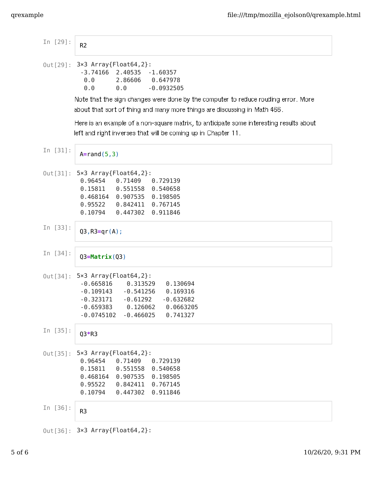| In $[29]$ : | R <sub>2</sub>                                                                                                                                                                                                                       |
|-------------|--------------------------------------------------------------------------------------------------------------------------------------------------------------------------------------------------------------------------------------|
|             | Out [29]: 3×3 Array{Float64,2}:<br>$-3.74166$ 2.40535 $-1.60357$<br>0.0<br>2.86606<br>0.647978<br>0.0<br>$-0.0932505$<br>0.0                                                                                                         |
|             | Note that the sign changes were done by the computer to reduce rouding error. More<br>about that sort of thing and many more things are discussing in Math 466.                                                                      |
|             | Here is an example of a non-square matrix, to anticipate some interesting results about<br>left and right inverses that will be coming up in Chapter 11.                                                                             |
| In $[31]$ : | $A = rand(5, 3)$                                                                                                                                                                                                                     |
|             | Out[31]: 5×3 Array{Float64,2}:<br>0.96454<br>0.71409<br>0.729139<br>0.15811<br>0.551558 0.540658<br>$0.468164$ 0.907535 0.198505<br>0.95522<br>0.842411<br>0.767145<br>0.10794<br>0.447302<br>0.911846                               |
| In $[33]$ : | $Q3, R3=qr(A);$                                                                                                                                                                                                                      |
| In $[34]$ : | $Q3 = Matrix(Q3)$                                                                                                                                                                                                                    |
|             | Out[34]: 5×3 Array{Float64,2}:<br>$-0.665816$<br>0.313529<br>0.130694<br>$-0.109143 - 0.541256$<br>0.169316<br>$-0.323171 - 0.61292$<br>$-0.632682$<br>$-0.659383$ $0.126062$ $0.0663205$<br>$-0.466025$<br>0.741327<br>$-0.0745102$ |
| In $[35]$ : | $Q3*R3$                                                                                                                                                                                                                              |
| Out[35]:    | $5\times3$ Array{Float64,2}:<br>0.96454<br>0.71409<br>0.729139<br>0.15811<br>0.551558<br>0.540658<br>0.468164<br>0.907535<br>0.198505<br>0.95522<br>0.842411<br>0.767145<br>0.10794<br>0.447302<br>0.911846                          |
| In $[36]$ : | R <sub>3</sub>                                                                                                                                                                                                                       |
|             | Out[36]: 3×3 Array{Float64,2}:                                                                                                                                                                                                       |